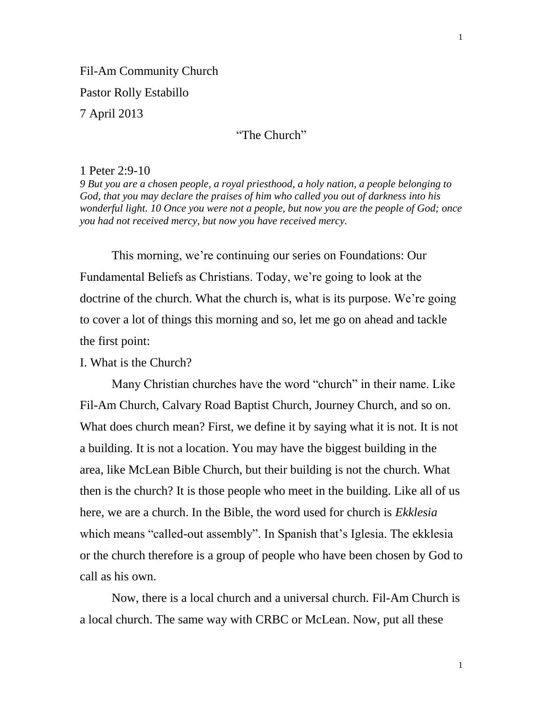## "The Church"

#### 1 Peter 2:9-10

*9 But you are a chosen people, a royal priesthood, a holy nation, a people belonging to God, that you may declare the praises of him who called you out of darkness into his wonderful light. 10 Once you were not a people, but now you are the people of God; once you had not received mercy, but now you have received mercy.* 

This morning, we're continuing our series on Foundations: Our Fundamental Beliefs as Christians. Today, we're going to look at the doctrine of the church. What the church is, what is its purpose. We're going to cover a lot of things this morning and so, let me go on ahead and tackle the first point:

## I. What is the Church?

Many Christian churches have the word "church" in their name. Like Fil-Am Church, Calvary Road Baptist Church, Journey Church, and so on. What does church mean? First, we define it by saying what it is not. It is not a building. It is not a location. You may have the biggest building in the area, like McLean Bible Church, but their building is not the church. What then is the church? It is those people who meet in the building. Like all of us here, we are a church. In the Bible, the word used for church is *Ekklesia*  which means "called-out assembly". In Spanish that's Iglesia. The ekklesia or the church therefore is a group of people who have been chosen by God to call as his own.

Now, there is a local church and a universal church. Fil-Am Church is a local church. The same way with CRBC or McLean. Now, put all these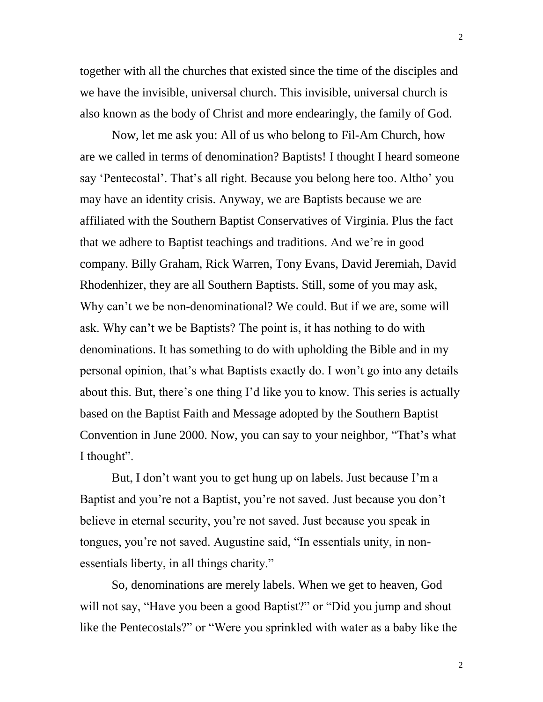together with all the churches that existed since the time of the disciples and we have the invisible, universal church. This invisible, universal church is also known as the body of Christ and more endearingly, the family of God.

Now, let me ask you: All of us who belong to Fil-Am Church, how are we called in terms of denomination? Baptists! I thought I heard someone say 'Pentecostal'. That's all right. Because you belong here too. Altho' you may have an identity crisis. Anyway, we are Baptists because we are affiliated with the Southern Baptist Conservatives of Virginia. Plus the fact that we adhere to Baptist teachings and traditions. And we're in good company. Billy Graham, Rick Warren, Tony Evans, David Jeremiah, David Rhodenhizer, they are all Southern Baptists. Still, some of you may ask, Why can't we be non-denominational? We could. But if we are, some will ask. Why can't we be Baptists? The point is, it has nothing to do with denominations. It has something to do with upholding the Bible and in my personal opinion, that's what Baptists exactly do. I won't go into any details about this. But, there's one thing I'd like you to know. This series is actually based on the Baptist Faith and Message adopted by the Southern Baptist Convention in June 2000. Now, you can say to your neighbor, "That's what I thought".

But, I don't want you to get hung up on labels. Just because I'm a Baptist and you're not a Baptist, you're not saved. Just because you don't believe in eternal security, you're not saved. Just because you speak in tongues, you're not saved. Augustine said, "In essentials unity, in nonessentials liberty, in all things charity."

So, denominations are merely labels. When we get to heaven, God will not say, "Have you been a good Baptist?" or "Did you jump and shout like the Pentecostals?" or "Were you sprinkled with water as a baby like the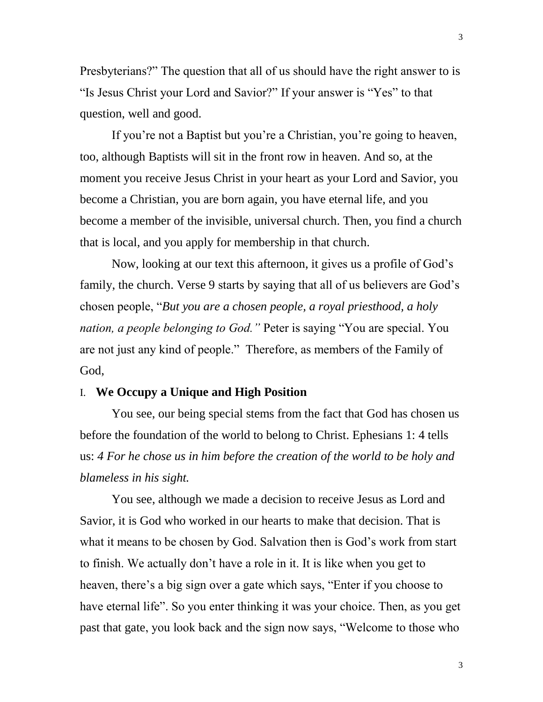Presbyterians?" The question that all of us should have the right answer to is "Is Jesus Christ your Lord and Savior?" If your answer is "Yes" to that question, well and good.

If you're not a Baptist but you're a Christian, you're going to heaven, too, although Baptists will sit in the front row in heaven. And so, at the moment you receive Jesus Christ in your heart as your Lord and Savior, you become a Christian, you are born again, you have eternal life, and you become a member of the invisible, universal church. Then, you find a church that is local, and you apply for membership in that church.

Now, looking at our text this afternoon, it gives us a profile of God's family, the church. Verse 9 starts by saying that all of us believers are God's chosen people, "*But you are a chosen people, a royal priesthood, a holy nation, a people belonging to God."* Peter is saying "You are special. You are not just any kind of people." Therefore, as members of the Family of God,

# I. **We Occupy a Unique and High Position**

You see, our being special stems from the fact that God has chosen us before the foundation of the world to belong to Christ. Ephesians 1: 4 tells us: *4 For he chose us in him before the creation of the world to be holy and blameless in his sight.* 

You see, although we made a decision to receive Jesus as Lord and Savior, it is God who worked in our hearts to make that decision. That is what it means to be chosen by God. Salvation then is God's work from start to finish. We actually don't have a role in it. It is like when you get to heaven, there's a big sign over a gate which says, "Enter if you choose to have eternal life". So you enter thinking it was your choice. Then, as you get past that gate, you look back and the sign now says, "Welcome to those who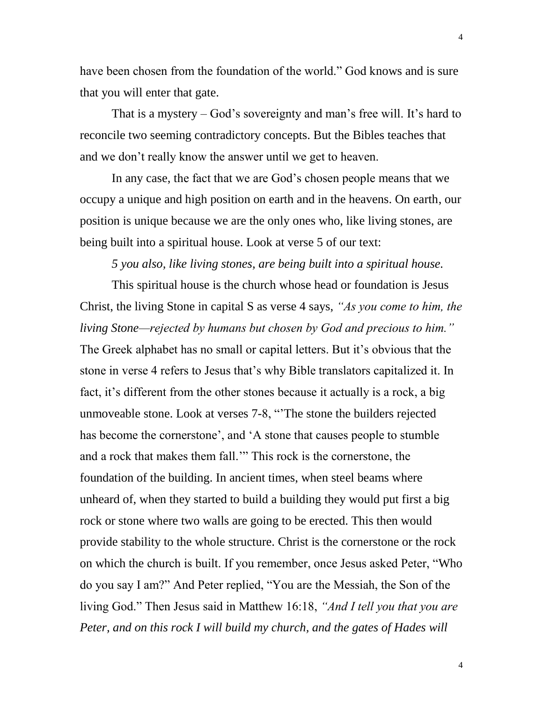have been chosen from the foundation of the world." God knows and is sure that you will enter that gate.

That is a mystery – God's sovereignty and man's free will. It's hard to reconcile two seeming contradictory concepts. But the Bibles teaches that and we don't really know the answer until we get to heaven.

In any case, the fact that we are God's chosen people means that we occupy a unique and high position on earth and in the heavens. On earth, our position is unique because we are the only ones who, like living stones, are being built into a spiritual house. Look at verse 5 of our text:

#### *5 you also, like living stones, are being built into a spiritual house.*

This spiritual house is the church whose head or foundation is Jesus Christ, the living Stone in capital S as verse 4 says, *"As you come to him, the living Stone—rejected by humans but chosen by God and precious to him."* The Greek alphabet has no small or capital letters. But it's obvious that the stone in verse 4 refers to Jesus that's why Bible translators capitalized it. In fact, it's different from the other stones because it actually is a rock, a big unmoveable stone. Look at verses 7-8, "'The stone the builders rejected has become the cornerstone', and 'A stone that causes people to stumble and a rock that makes them fall.'" This rock is the cornerstone, the foundation of the building. In ancient times, when steel beams where unheard of, when they started to build a building they would put first a big rock or stone where two walls are going to be erected. This then would provide stability to the whole structure. Christ is the cornerstone or the rock on which the church is built. If you remember, once Jesus asked Peter, "Who do you say I am?" And Peter replied, "You are the Messiah, the Son of the living God." Then Jesus said in Matthew 16:18, *"And I tell you that you are Peter, and on this rock I will build my church, and the gates of Hades will*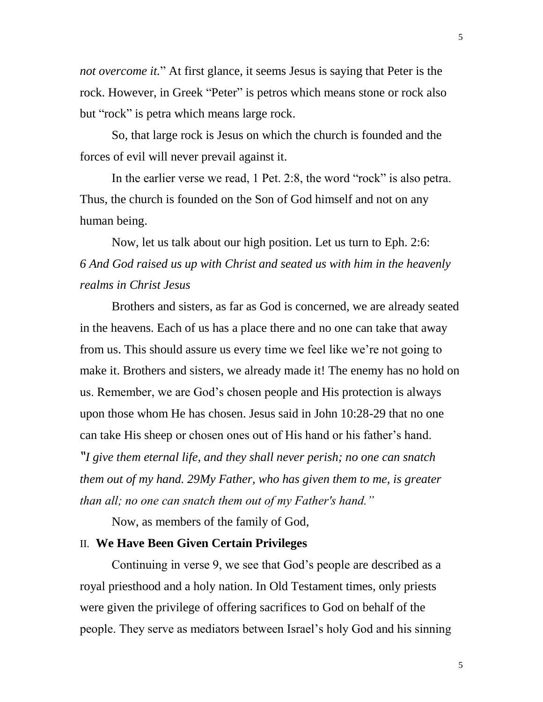*not overcome it.*" At first glance, it seems Jesus is saying that Peter is the rock. However, in Greek "Peter" is petros which means stone or rock also but "rock" is petra which means large rock.

So, that large rock is Jesus on which the church is founded and the forces of evil will never prevail against it.

In the earlier verse we read, 1 Pet. 2:8, the word "rock" is also petra. Thus, the church is founded on the Son of God himself and not on any human being.

Now, let us talk about our high position. Let us turn to Eph. 2:6: *6 And God raised us up with Christ and seated us with him in the heavenly realms in Christ Jesus*

Brothers and sisters, as far as God is concerned, we are already seated in the heavens. Each of us has a place there and no one can take that away from us. This should assure us every time we feel like we're not going to make it. Brothers and sisters, we already made it! The enemy has no hold on us. Remember, we are God's chosen people and His protection is always upon those whom He has chosen. Jesus said in John 10:28-29 that no one can take His sheep or chosen ones out of His hand or his father's hand.

*"I give them eternal life, and they shall never perish; no one can snatch them out of my hand. 29My Father, who has given them to me, is greater than all; no one can snatch them out of my Father's hand."*

Now, as members of the family of God,

### II. **We Have Been Given Certain Privileges**

Continuing in verse 9, we see that God's people are described as a royal priesthood and a holy nation. In Old Testament times, only priests were given the privilege of offering sacrifices to God on behalf of the people. They serve as mediators between Israel's holy God and his sinning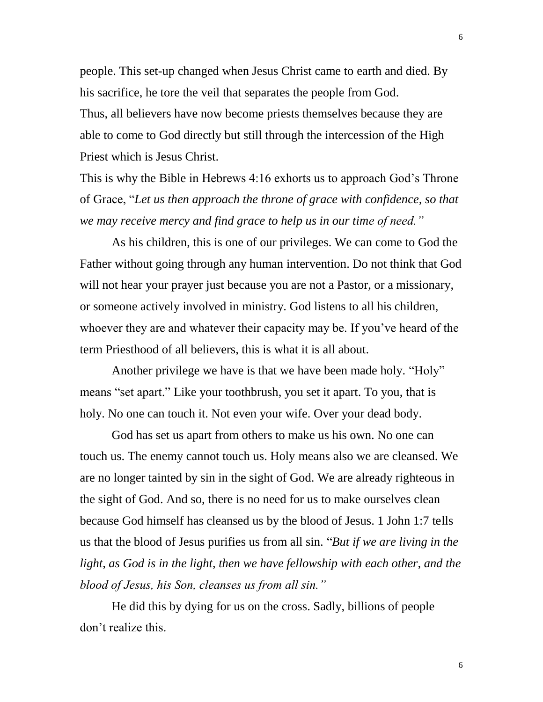people. This set-up changed when Jesus Christ came to earth and died. By his sacrifice, he tore the veil that separates the people from God. Thus, all believers have now become priests themselves because they are able to come to God directly but still through the intercession of the High Priest which is Jesus Christ.

This is why the Bible in Hebrews 4:16 exhorts us to approach God's Throne of Grace, "*Let us then approach the throne of grace with confidence, so that we may receive mercy and find grace to help us in our time of need."*

As his children, this is one of our privileges. We can come to God the Father without going through any human intervention. Do not think that God will not hear your prayer just because you are not a Pastor, or a missionary, or someone actively involved in ministry. God listens to all his children, whoever they are and whatever their capacity may be. If you've heard of the term Priesthood of all believers, this is what it is all about.

Another privilege we have is that we have been made holy. "Holy" means "set apart." Like your toothbrush, you set it apart. To you, that is holy. No one can touch it. Not even your wife. Over your dead body.

God has set us apart from others to make us his own. No one can touch us. The enemy cannot touch us. Holy means also we are cleansed. We are no longer tainted by sin in the sight of God. We are already righteous in the sight of God. And so, there is no need for us to make ourselves clean because God himself has cleansed us by the blood of Jesus. 1 John 1:7 tells us that the blood of Jesus purifies us from all sin. "*But if we are living in the light, as God is in the light, then we have fellowship with each other, and the blood of Jesus, his Son, cleanses us from all sin."*

He did this by dying for us on the cross. Sadly, billions of people don't realize this.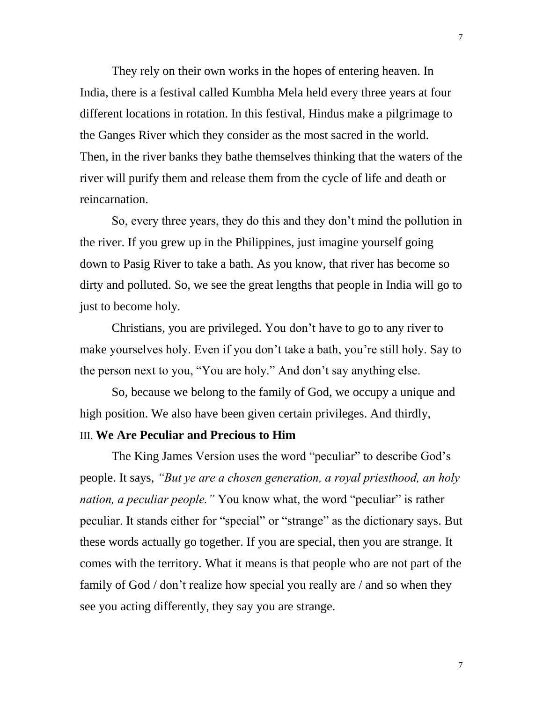They rely on their own works in the hopes of entering heaven. In India, there is a festival called Kumbha Mela held every three years at four different locations in rotation. In this festival, Hindus make a pilgrimage to the Ganges River which they consider as the most sacred in the world. Then, in the river banks they bathe themselves thinking that the waters of the river will purify them and release them from the cycle of life and death or reincarnation.

So, every three years, they do this and they don't mind the pollution in the river. If you grew up in the Philippines, just imagine yourself going down to Pasig River to take a bath. As you know, that river has become so dirty and polluted. So, we see the great lengths that people in India will go to just to become holy.

Christians, you are privileged. You don't have to go to any river to make yourselves holy. Even if you don't take a bath, you're still holy. Say to the person next to you, "You are holy." And don't say anything else.

So, because we belong to the family of God, we occupy a unique and high position. We also have been given certain privileges. And thirdly,

# III. **We Are Peculiar and Precious to Him**

The King James Version uses the word "peculiar" to describe God's people. It says, *"But ye are a chosen generation, a royal priesthood, an holy nation, a peculiar people.*" You know what, the word "peculiar" is rather peculiar. It stands either for "special" or "strange" as the dictionary says. But these words actually go together. If you are special, then you are strange. It comes with the territory. What it means is that people who are not part of the family of God / don't realize how special you really are / and so when they see you acting differently, they say you are strange.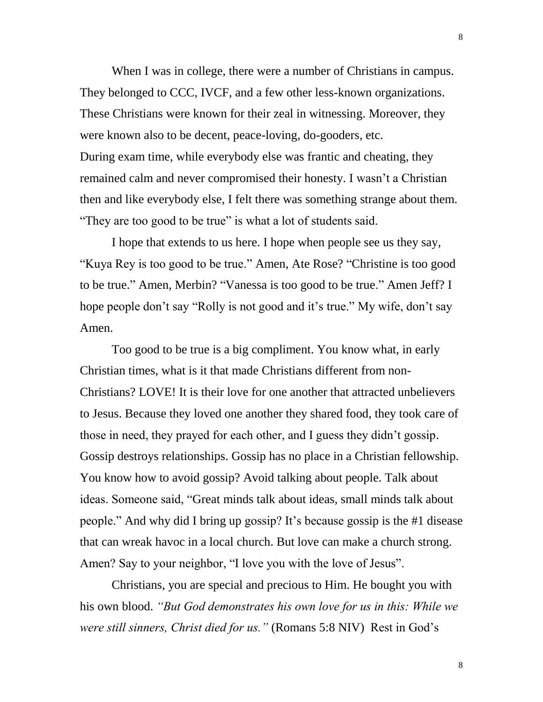When I was in college, there were a number of Christians in campus. They belonged to CCC, IVCF, and a few other less-known organizations. These Christians were known for their zeal in witnessing. Moreover, they were known also to be decent, peace-loving, do-gooders, etc. During exam time, while everybody else was frantic and cheating, they remained calm and never compromised their honesty. I wasn't a Christian then and like everybody else, I felt there was something strange about them. "They are too good to be true" is what a lot of students said.

I hope that extends to us here. I hope when people see us they say, "Kuya Rey is too good to be true." Amen, Ate Rose? "Christine is too good to be true." Amen, Merbin? "Vanessa is too good to be true." Amen Jeff? I hope people don't say "Rolly is not good and it's true." My wife, don't say Amen.

Too good to be true is a big compliment. You know what, in early Christian times, what is it that made Christians different from non-Christians? LOVE! It is their love for one another that attracted unbelievers to Jesus. Because they loved one another they shared food, they took care of those in need, they prayed for each other, and I guess they didn't gossip. Gossip destroys relationships. Gossip has no place in a Christian fellowship. You know how to avoid gossip? Avoid talking about people. Talk about ideas. Someone said, "Great minds talk about ideas, small minds talk about people." And why did I bring up gossip? It's because gossip is the #1 disease that can wreak havoc in a local church. But love can make a church strong. Amen? Say to your neighbor, "I love you with the love of Jesus".

Christians, you are special and precious to Him. He bought you with his own blood. *"But God demonstrates his own love for us in this: While we were still sinners, Christ died for us."* (Romans 5:8 NIV)Rest in God's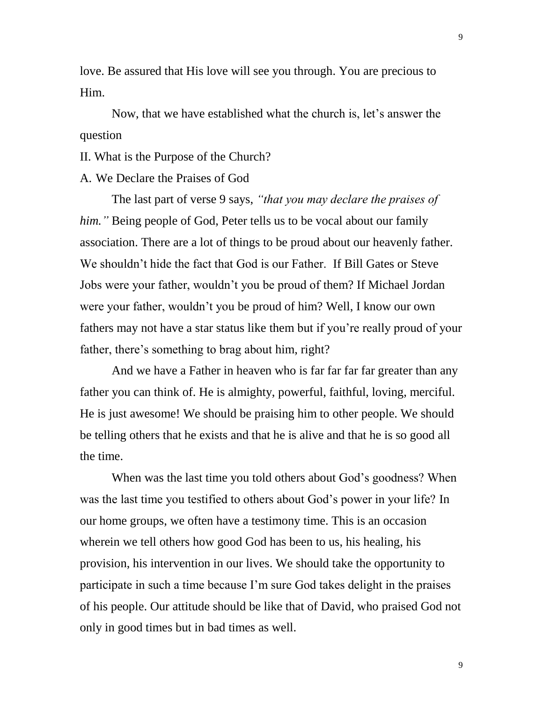love. Be assured that His love will see you through. You are precious to Him.

Now, that we have established what the church is, let's answer the question

II. What is the Purpose of the Church?

### A. We Declare the Praises of God

The last part of verse 9 says, *"that you may declare the praises of him."* Being people of God, Peter tells us to be vocal about our family association. There are a lot of things to be proud about our heavenly father. We shouldn't hide the fact that God is our Father. If Bill Gates or Steve Jobs were your father, wouldn't you be proud of them? If Michael Jordan were your father, wouldn't you be proud of him? Well, I know our own fathers may not have a star status like them but if you're really proud of your father, there's something to brag about him, right?

And we have a Father in heaven who is far far far far greater than any father you can think of. He is almighty, powerful, faithful, loving, merciful. He is just awesome! We should be praising him to other people. We should be telling others that he exists and that he is alive and that he is so good all the time.

When was the last time you told others about God's goodness? When was the last time you testified to others about God's power in your life? In our home groups, we often have a testimony time. This is an occasion wherein we tell others how good God has been to us, his healing, his provision, his intervention in our lives. We should take the opportunity to participate in such a time because I'm sure God takes delight in the praises of his people. Our attitude should be like that of David, who praised God not only in good times but in bad times as well.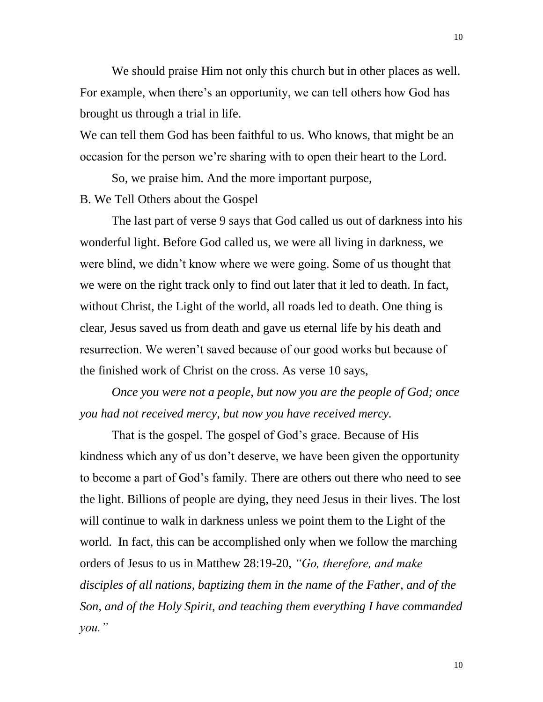We should praise Him not only this church but in other places as well. For example, when there's an opportunity, we can tell others how God has brought us through a trial in life.

We can tell them God has been faithful to us. Who knows, that might be an occasion for the person we're sharing with to open their heart to the Lord.

So, we praise him. And the more important purpose, B. We Tell Others about the Gospel

The last part of verse 9 says that God called us out of darkness into his wonderful light. Before God called us, we were all living in darkness, we were blind, we didn't know where we were going. Some of us thought that we were on the right track only to find out later that it led to death. In fact, without Christ, the Light of the world, all roads led to death. One thing is clear, Jesus saved us from death and gave us eternal life by his death and resurrection. We weren't saved because of our good works but because of the finished work of Christ on the cross. As verse 10 says,

*Once you were not a people, but now you are the people of God; once you had not received mercy, but now you have received mercy.*

That is the gospel. The gospel of God's grace. Because of His kindness which any of us don't deserve, we have been given the opportunity to become a part of God's family. There are others out there who need to see the light. Billions of people are dying, they need Jesus in their lives. The lost will continue to walk in darkness unless we point them to the Light of the world. In fact, this can be accomplished only when we follow the marching orders of Jesus to us in Matthew 28:19-20, *"Go, therefore, and make disciples of all nations, baptizing them in the name of the Father, and of the Son, and of the Holy Spirit, and teaching them everything I have commanded you."*